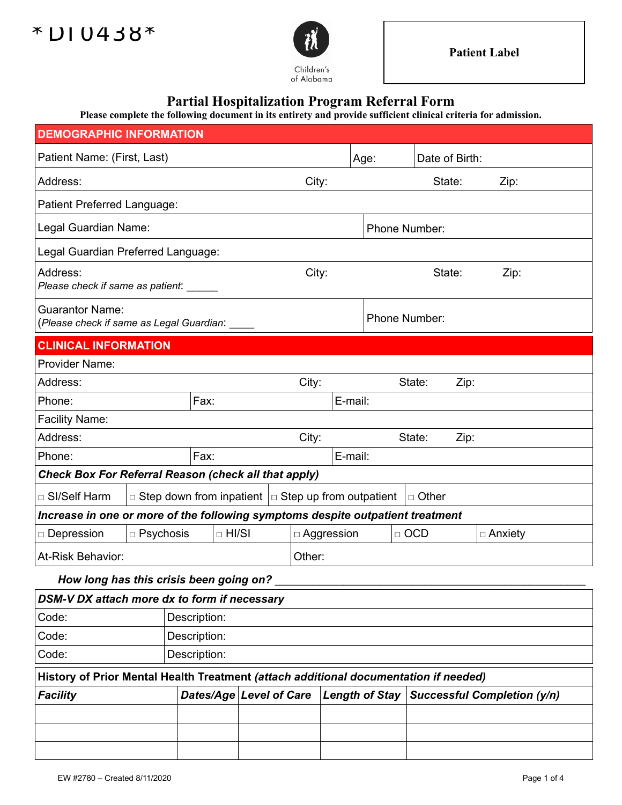



## **Partial Hospitalization Program Referral Form**

**Please complete the following document in its entirety and provide sufficient clinical criteria for admission.**

| <b>DEMOGRAPHIC INFORMATION</b>                                                              |                                  |  |       |                         |                            |        |                |                       |                |  |      |                |                                    |
|---------------------------------------------------------------------------------------------|----------------------------------|--|-------|-------------------------|----------------------------|--------|----------------|-----------------------|----------------|--|------|----------------|------------------------------------|
| Patient Name: (First, Last)                                                                 |                                  |  |       |                         |                            | Age:   |                |                       | Date of Birth: |  |      |                |                                    |
| Address:                                                                                    |                                  |  |       |                         | City:                      |        |                | State:                |                |  |      | Zip:           |                                    |
| Patient Preferred Language:                                                                 |                                  |  |       |                         |                            |        |                |                       |                |  |      |                |                                    |
| Legal Guardian Name:                                                                        |                                  |  |       |                         | Phone Number:              |        |                |                       |                |  |      |                |                                    |
| Legal Guardian Preferred Language:                                                          |                                  |  |       |                         |                            |        |                |                       |                |  |      |                |                                    |
| Address:<br>Please check if same as patient:                                                |                                  |  | City: |                         |                            |        | State:<br>Zip: |                       |                |  |      |                |                                    |
| <b>Guarantor Name:</b><br>(Please check if same as Legal Guardian:                          |                                  |  |       |                         |                            |        |                | Phone Number:         |                |  |      |                |                                    |
| <b>CLINICAL INFORMATION</b>                                                                 |                                  |  |       |                         |                            |        |                |                       |                |  |      |                |                                    |
| Provider Name:                                                                              |                                  |  |       |                         |                            |        |                |                       |                |  |      |                |                                    |
| Address:                                                                                    |                                  |  |       | City:                   |                            |        |                | State:<br>Zip:        |                |  |      |                |                                    |
| Phone:                                                                                      | Fax:                             |  |       |                         |                            |        | E-mail:        |                       |                |  |      |                |                                    |
| <b>Facility Name:</b>                                                                       |                                  |  |       |                         |                            |        |                |                       |                |  |      |                |                                    |
| Address:                                                                                    |                                  |  |       |                         |                            | City:  |                |                       | State:         |  | Zip: |                |                                    |
| Fax:<br>Phone:                                                                              |                                  |  |       | E-mail:                 |                            |        |                |                       |                |  |      |                |                                    |
| <b>Check Box For Referral Reason (check all that apply)</b>                                 |                                  |  |       |                         |                            |        |                |                       |                |  |      |                |                                    |
| □ SI/Self Harm<br>$\Box$ Step down from inpatient $\Box$ Step up from outpatient<br>□ Other |                                  |  |       |                         |                            |        |                |                       |                |  |      |                |                                    |
| Increase in one or more of the following symptoms despite outpatient treatment              |                                  |  |       |                         |                            |        |                |                       |                |  |      |                |                                    |
| □ Depression                                                                                | $\Box$ HI/SI<br>$\Box$ Psychosis |  |       |                         | $\Box$ OCD<br>□ Aggression |        |                |                       |                |  |      | $\Box$ Anxiety |                                    |
| At-Risk Behavior:                                                                           |                                  |  |       |                         |                            | Other: |                |                       |                |  |      |                |                                    |
| How long has this crisis been going on?                                                     |                                  |  |       |                         |                            |        |                |                       |                |  |      |                |                                    |
| DSM-V DX attach more dx to form if necessary                                                |                                  |  |       |                         |                            |        |                |                       |                |  |      |                |                                    |
| Description:<br>Code:                                                                       |                                  |  |       |                         |                            |        |                |                       |                |  |      |                |                                    |
| Code:<br>Description:                                                                       |                                  |  |       |                         |                            |        |                |                       |                |  |      |                |                                    |
| Code:<br>Description:                                                                       |                                  |  |       |                         |                            |        |                |                       |                |  |      |                |                                    |
| History of Prior Mental Health Treatment (attach additional documentation if needed)        |                                  |  |       |                         |                            |        |                |                       |                |  |      |                |                                    |
| <b>Facility</b>                                                                             |                                  |  |       | Dates/Age Level of Care |                            |        |                | <b>Length of Stay</b> |                |  |      |                | <b>Successful Completion (y/n)</b> |
|                                                                                             |                                  |  |       |                         |                            |        |                |                       |                |  |      |                |                                    |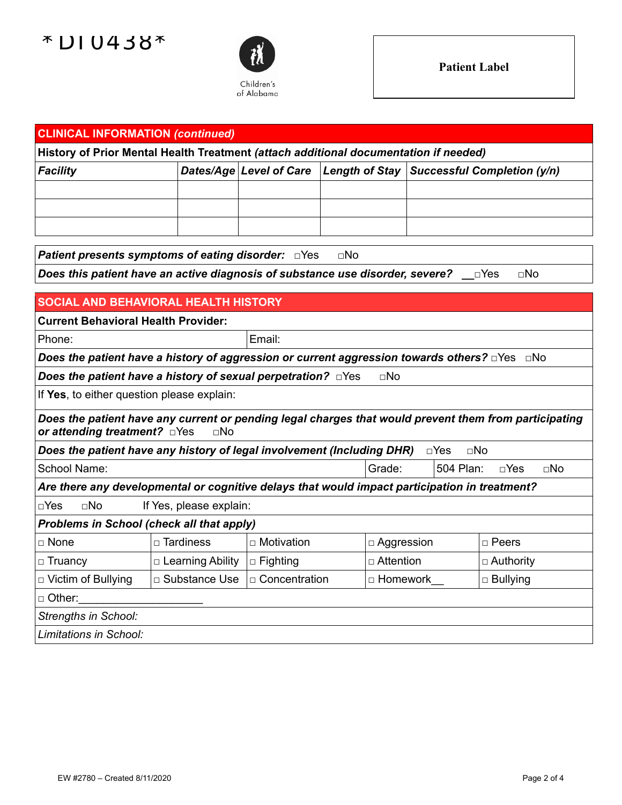



| <b>CLINICAL INFORMATION (continued)</b>                                                                                                              |                 |                         |                   |                 |                                    |  |  |  |  |
|------------------------------------------------------------------------------------------------------------------------------------------------------|-----------------|-------------------------|-------------------|-----------------|------------------------------------|--|--|--|--|
| History of Prior Mental Health Treatment (attach additional documentation if needed)                                                                 |                 |                         |                   |                 |                                    |  |  |  |  |
| <b>Facility</b>                                                                                                                                      |                 | Dates/Age Level of Care | Length of Stay    |                 | <b>Successful Completion (y/n)</b> |  |  |  |  |
|                                                                                                                                                      |                 |                         |                   |                 |                                    |  |  |  |  |
|                                                                                                                                                      |                 |                         |                   |                 |                                    |  |  |  |  |
|                                                                                                                                                      |                 |                         |                   |                 |                                    |  |  |  |  |
|                                                                                                                                                      |                 |                         |                   |                 |                                    |  |  |  |  |
| Patient presents symptoms of eating disorder: DYes<br>$\square$ No                                                                                   |                 |                         |                   |                 |                                    |  |  |  |  |
| Does this patient have an active diagnosis of substance use disorder, severe?<br>$\square$ Yes<br>$\square$ No                                       |                 |                         |                   |                 |                                    |  |  |  |  |
| SOCIAL AND BEHAVIORAL HEALTH HISTORY                                                                                                                 |                 |                         |                   |                 |                                    |  |  |  |  |
| <b>Current Behavioral Health Provider:</b>                                                                                                           |                 |                         |                   |                 |                                    |  |  |  |  |
| Phone:                                                                                                                                               | Email:          |                         |                   |                 |                                    |  |  |  |  |
| Does the patient have a history of aggression or current aggression towards others? $\square$ Yes $\square$ No                                       |                 |                         |                   |                 |                                    |  |  |  |  |
| Does the patient have a history of sexual perpetration? DYes<br>$\square$ No                                                                         |                 |                         |                   |                 |                                    |  |  |  |  |
| If Yes, to either question please explain:                                                                                                           |                 |                         |                   |                 |                                    |  |  |  |  |
| Does the patient have any current or pending legal charges that would prevent them from participating<br>or attending treatment? DYes<br>$\sqcap$ No |                 |                         |                   |                 |                                    |  |  |  |  |
| Does the patient have any history of legal involvement (Including DHR)<br>$\square$ No<br>$\square$ Yes                                              |                 |                         |                   |                 |                                    |  |  |  |  |
| School Name:<br>Grade:<br>504 Plan:<br>$\square$ No<br>$\square$ Yes                                                                                 |                 |                         |                   |                 |                                    |  |  |  |  |
| Are there any developmental or cognitive delays that would impact participation in treatment?                                                        |                 |                         |                   |                 |                                    |  |  |  |  |
| $\Box$ No<br>$\square$ Yes<br>If Yes, please explain:                                                                                                |                 |                         |                   |                 |                                    |  |  |  |  |
| Problems in School (check all that apply)                                                                                                            |                 |                         |                   |                 |                                    |  |  |  |  |
| □ None                                                                                                                                               | □ Tardiness     | □ Motivation            | $\Box$ Aggression |                 | □ Peers                            |  |  |  |  |
| □ Learning Ability<br>□ Truancy                                                                                                                      |                 | $\Box$ Fighting         | $\Box$ Attention  |                 | $\Box$ Authority                   |  |  |  |  |
| □ Substance Use<br>□ Victim of Bullying                                                                                                              | □ Concentration | □ Homework              |                   | $\Box$ Bullying |                                    |  |  |  |  |
| □ Other:                                                                                                                                             |                 |                         |                   |                 |                                    |  |  |  |  |
| Strengths in School:                                                                                                                                 |                 |                         |                   |                 |                                    |  |  |  |  |
| Limitations in School:                                                                                                                               |                 |                         |                   |                 |                                    |  |  |  |  |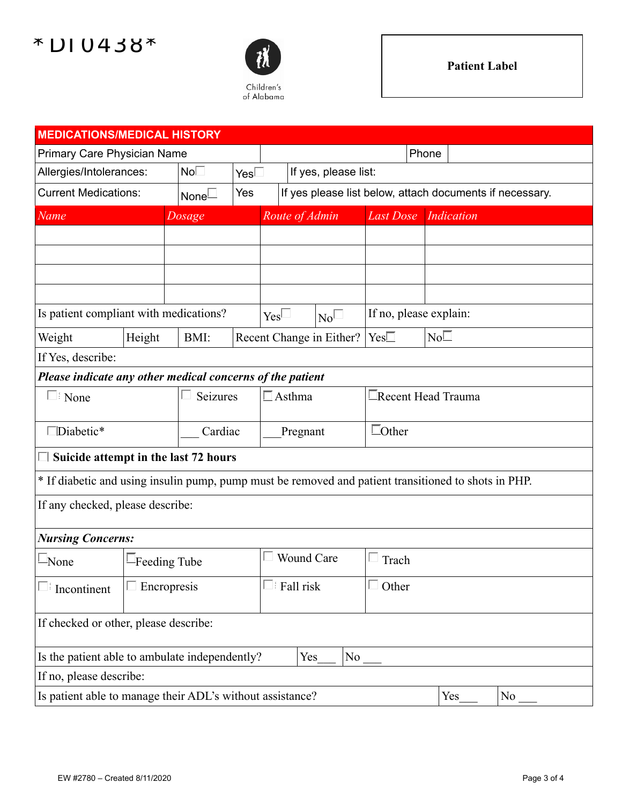## $*$ DI0438 $*$



| <b>MEDICATIONS/MEDICAL HISTORY</b>                                                                   |                    |                 |                         |               |                                                          |                              |                        |                 |                   |  |  |
|------------------------------------------------------------------------------------------------------|--------------------|-----------------|-------------------------|---------------|----------------------------------------------------------|------------------------------|------------------------|-----------------|-------------------|--|--|
| Primary Care Physician Name                                                                          |                    |                 |                         |               | Phone                                                    |                              |                        |                 |                   |  |  |
| Allergies/Intolerances:                                                                              |                    | No <sub>1</sub> | Yes $\Box$              |               | If yes, please list:                                     |                              |                        |                 |                   |  |  |
| <b>Current Medications:</b>                                                                          |                    | None $\Box$     | Yes                     |               | If yes please list below, attach documents if necessary. |                              |                        |                 |                   |  |  |
| Name                                                                                                 |                    | Dosage          |                         |               | Route of Admin                                           |                              | <b>Last Dose</b>       |                 | <b>Indication</b> |  |  |
|                                                                                                      |                    |                 |                         |               |                                                          |                              |                        |                 |                   |  |  |
|                                                                                                      |                    |                 |                         |               |                                                          |                              |                        |                 |                   |  |  |
|                                                                                                      |                    |                 |                         |               |                                                          |                              |                        |                 |                   |  |  |
|                                                                                                      |                    |                 |                         |               |                                                          |                              |                        |                 |                   |  |  |
| Is patient compliant with medications?                                                               |                    |                 |                         | $Yes\Box$     | $No^{\Box}$                                              |                              | If no, please explain: |                 |                   |  |  |
| Weight                                                                                               | Height             | BMI:            |                         |               | Recent Change in Either?                                 |                              | $Yes\Box$              | No <sub>1</sub> |                   |  |  |
| If Yes, describe:                                                                                    |                    |                 |                         |               |                                                          |                              |                        |                 |                   |  |  |
| Please indicate any other medical concerns of the patient                                            |                    |                 |                         |               |                                                          |                              |                        |                 |                   |  |  |
| $\square$ None                                                                                       |                    | Seizures        |                         | $\Box$ Asthma |                                                          | $\square$ Recent Head Trauma |                        |                 |                   |  |  |
| Diabetic*                                                                                            |                    | Cardiac         |                         | Pregnant      |                                                          | $\Box$ Other                 |                        |                 |                   |  |  |
| $\Box$ Suicide attempt in the last 72 hours                                                          |                    |                 |                         |               |                                                          |                              |                        |                 |                   |  |  |
| * If diabetic and using insulin pump, pump must be removed and patient transitioned to shots in PHP. |                    |                 |                         |               |                                                          |                              |                        |                 |                   |  |  |
| If any checked, please describe:                                                                     |                    |                 |                         |               |                                                          |                              |                        |                 |                   |  |  |
| <b>Nursing Concerns:</b>                                                                             |                    |                 |                         |               |                                                          |                              |                        |                 |                   |  |  |
| $\Box$ None<br>$\Box$ Feeding Tube                                                                   |                    |                 | Wound Care<br>ш         |               |                                                          | $\Box$ Trach                 |                        |                 |                   |  |  |
| $\Box$ Incontinent                                                                                   | $\Box$ Encropresis |                 | $\Box$<br><br>Fall risk |               | $\Box$ Other                                             |                              |                        |                 |                   |  |  |
| If checked or other, please describe:                                                                |                    |                 |                         |               |                                                          |                              |                        |                 |                   |  |  |
| Is the patient able to ambulate independently?<br>Yes<br>No                                          |                    |                 |                         |               |                                                          |                              |                        |                 |                   |  |  |
| If no, please describe:                                                                              |                    |                 |                         |               |                                                          |                              |                        |                 |                   |  |  |
| Is patient able to manage their ADL's without assistance?<br>No<br>Yes                               |                    |                 |                         |               |                                                          |                              |                        |                 |                   |  |  |